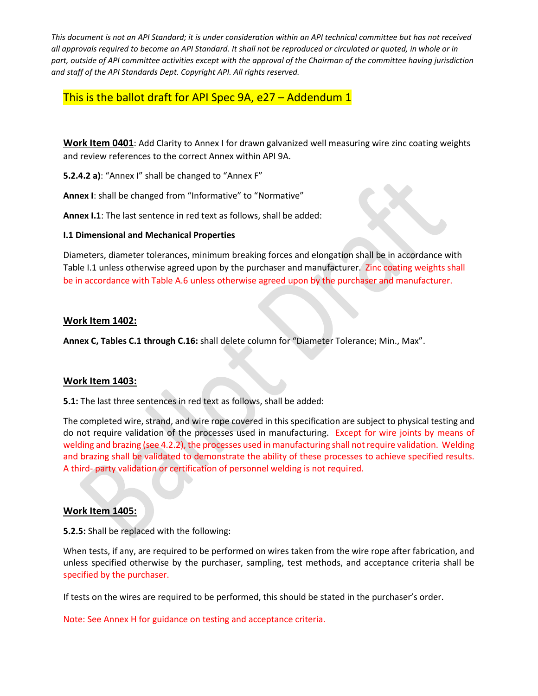*This document is not an API Standard; it is under consideration within an API technical committee but has not received all approvals required to become an API Standard. It shall not be reproduced or circulated or quoted, in whole or in part, outside of API committee activities except with the approval of the Chairman of the committee having jurisdiction and staff of the API Standards Dept. Copyright API. All rights reserved.*

This is the ballot draft for API Spec 9A, e27 – Addendum 1

**Work Item 0401**: Add Clarity to Annex I for drawn galvanized well measuring wire zinc coating weights and review references to the correct Annex within API 9A.

**5.2.4.2 a)**: "Annex I" shall be changed to "Annex F"

**Annex I**: shall be changed from "Informative" to "Normative"

**Annex I.1**: The last sentence in red text as follows, shall be added:

## **I.1 Dimensional and Mechanical Properties**

Diameters, diameter tolerances, minimum breaking forces and elongation shall be in accordance with Table I.1 unless otherwise agreed upon by the purchaser and manufacturer. Zinc coating weights shall be in accordance with Table A.6 unless otherwise agreed upon by the purchaser and manufacturer.

## **Work Item 1402:**

**Annex C, Tables C.1 through C.16:** shall delete column for "Diameter Tolerance; Min., Max".

## **Work Item 1403:**

**5.1:** The last three sentences in red text as follows, shall be added:

The completed wire, strand, and wire rope covered in this specification are subject to physical testing and do not require validation of the processes used in manufacturing. Except for wire joints by means of welding and brazing (see 4.2.2), the processes used in manufacturing shall not require validation. Welding and brazing shall be validated to demonstrate the ability of these processes to achieve specified results. A third- party validation or certification of personnel welding is not required.

## **Work Item 1405:**

**5.2.5:** Shall be replaced with the following:

When tests, if any, are required to be performed on wires taken from the wire rope after fabrication, and unless specified otherwise by the purchaser, sampling, test methods, and acceptance criteria shall be specified by the purchaser.

If tests on the wires are required to be performed, this should be stated in the purchaser's order.

Note: See Annex H for guidance on testing and acceptance criteria.